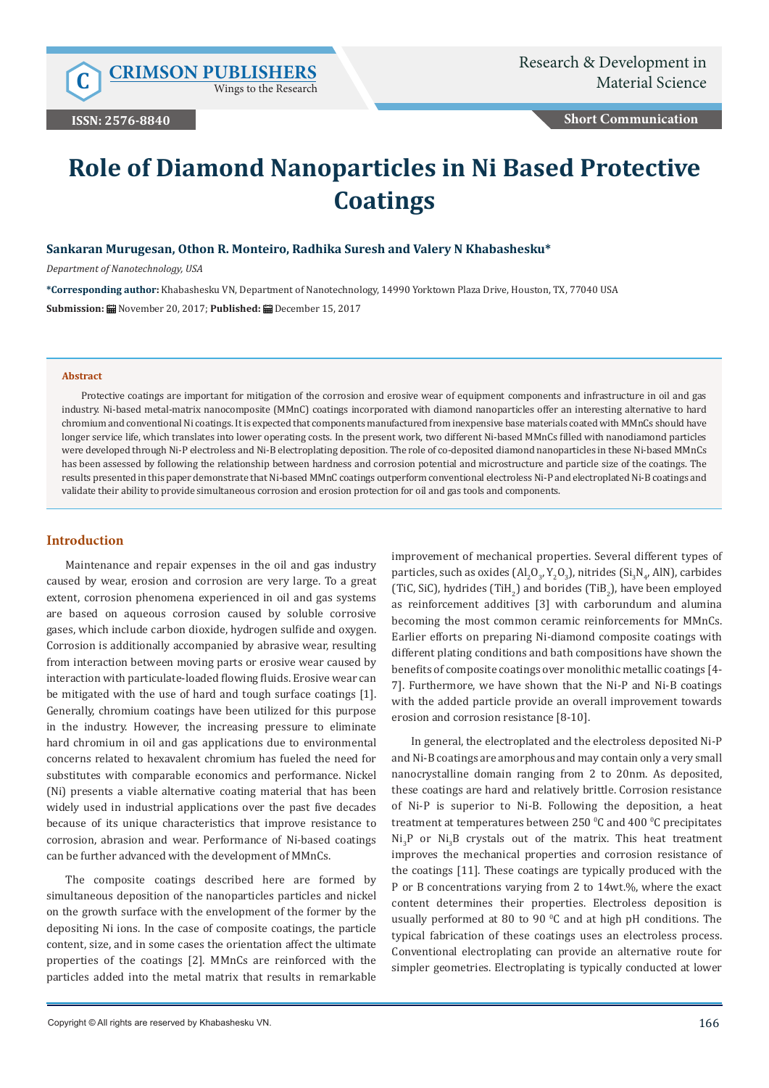Wings to the Research

**Short Communication**

# **Role of Diamond Nanoparticles in Ni Based Protective Coatings**

## **Sankaran Murugesan, Othon R. Monteiro, Radhika Suresh and Valery N Khabashesku\***

*Department of Nanotechnology, USA*

**\*Corresponding author:** Khabashesku VN, Department of Nanotechnology, 14990 Yorktown Plaza Drive, Houston, TX, 77040 USA **Submission:** November 20, 2017; **Published:** December 15, 2017

#### **Abstract**

Protective coatings are important for mitigation of the corrosion and erosive wear of equipment components and infrastructure in oil and gas industry. Ni-based metal-matrix nanocomposite (MMnC) coatings incorporated with diamond nanoparticles offer an interesting alternative to hard chromium and conventional Ni coatings. It is expected that components manufactured from inexpensive base materials coated with MMnCs should have longer service life, which translates into lower operating costs. In the present work, two different Ni-based MMnCs filled with nanodiamond particles were developed through Ni-P electroless and Ni-B electroplating deposition. The role of co-deposited diamond nanoparticles in these Ni-based MMnCs has been assessed by following the relationship between hardness and corrosion potential and microstructure and particle size of the coatings. The results presented in this paper demonstrate that Ni-based MMnC coatings outperform conventional electroless Ni-P and electroplated Ni-B coatings and validate their ability to provide simultaneous corrosion and erosion protection for oil and gas tools and components.

#### **Introduction**

Maintenance and repair expenses in the oil and gas industry caused by wear, erosion and corrosion are very large. To a great extent, corrosion phenomena experienced in oil and gas systems are based on aqueous corrosion caused by soluble corrosive gases, which include carbon dioxide, hydrogen sulfide and oxygen. Corrosion is additionally accompanied by abrasive wear, resulting from interaction between moving parts or erosive wear caused by interaction with particulate-loaded flowing fluids. Erosive wear can be mitigated with the use of hard and tough surface coatings [1]. Generally, chromium coatings have been utilized for this purpose in the industry. However, the increasing pressure to eliminate hard chromium in oil and gas applications due to environmental concerns related to hexavalent chromium has fueled the need for substitutes with comparable economics and performance. Nickel (Ni) presents a viable alternative coating material that has been widely used in industrial applications over the past five decades because of its unique characteristics that improve resistance to corrosion, abrasion and wear. Performance of Ni-based coatings can be further advanced with the development of MMnCs.

The composite coatings described here are formed by simultaneous deposition of the nanoparticles particles and nickel on the growth surface with the envelopment of the former by the depositing Ni ions. In the case of composite coatings, the particle content, size, and in some cases the orientation affect the ultimate properties of the coatings [2]. MMnCs are reinforced with the particles added into the metal matrix that results in remarkable

improvement of mechanical properties. Several different types of particles, such as oxides  $\text{(Al}_2\text{O}_3, \text{Y}_2\text{O}_3)$ , nitrides  $\text{(Si}_3\text{N}_4$ , AIN), carbides (TiC, SiC), hydrides (TiH<sub>2</sub>) and borides (TiB<sub>2</sub>), have been employed as reinforcement additives [3] with carborundum and alumina becoming the most common ceramic reinforcements for MMnCs. Earlier efforts on preparing Ni-diamond composite coatings with different plating conditions and bath compositions have shown the benefits of composite coatings over monolithic metallic coatings [4- 7]. Furthermore, we have shown that the Ni-P and Ni-B coatings with the added particle provide an overall improvement towards erosion and corrosion resistance [8-10].

In general, the electroplated and the electroless deposited Ni-P and Ni-B coatings are amorphous and may contain only a very small nanocrystalline domain ranging from 2 to 20nm. As deposited, these coatings are hard and relatively brittle. Corrosion resistance of Ni-P is superior to Ni-B. Following the deposition, a heat treatment at temperatures between 250  $\mathrm{^0C}$  and 400  $\mathrm{^0C}$  precipitates  $\text{Ni}_{3}$ P or  $\text{Ni}_{3}$ B crystals out of the matrix. This heat treatment improves the mechanical properties and corrosion resistance of the coatings [11]. These coatings are typically produced with the P or B concentrations varying from 2 to 14wt.%, where the exact content determines their properties. Electroless deposition is usually performed at 80 to 90  $\degree$ C and at high pH conditions. The typical fabrication of these coatings uses an electroless process. Conventional electroplating can provide an alternative route for simpler geometries. Electroplating is typically conducted at lower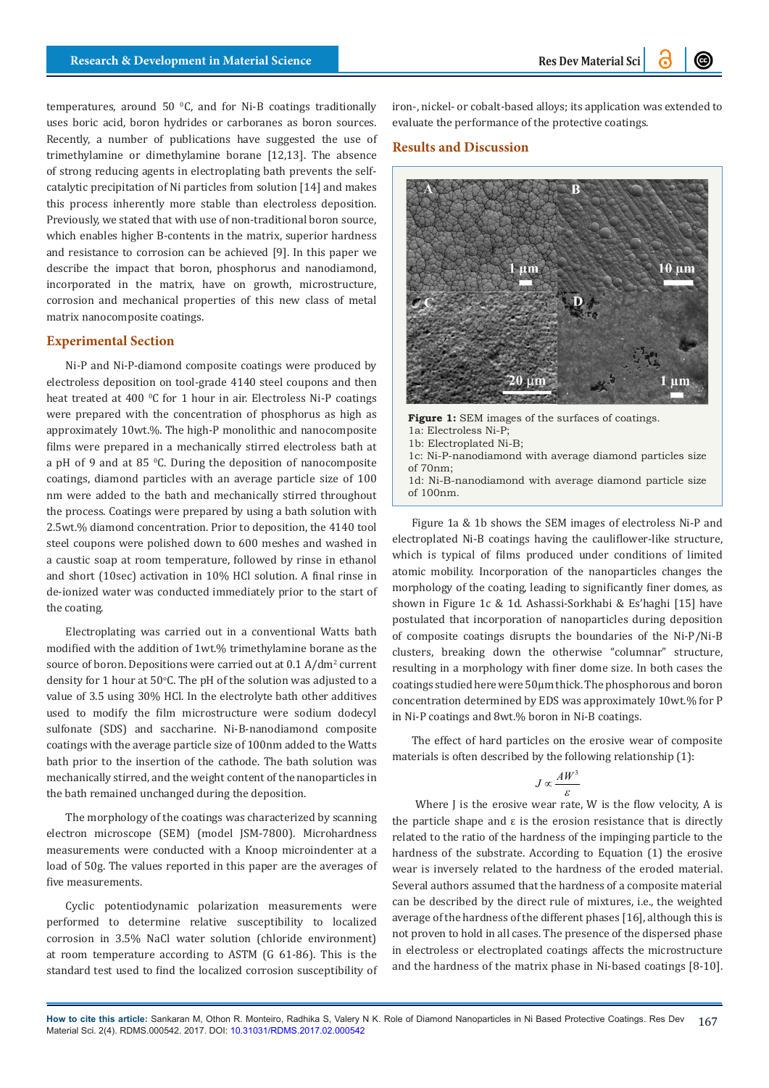temperatures, around 50  $\degree$ C, and for Ni-B coatings traditionally uses boric acid, boron hydrides or carboranes as boron sources. Recently, a number of publications have suggested the use of trimethylamine or dimethylamine borane [12,13]. The absence of strong reducing agents in electroplating bath prevents the selfcatalytic precipitation of Ni particles from solution [14] and makes this process inherently more stable than electroless deposition. Previously, we stated that with use of non-traditional boron source, which enables higher B-contents in the matrix, superior hardness and resistance to corrosion can be achieved [9]. In this paper we describe the impact that boron, phosphorus and nanodiamond, incorporated in the matrix, have on growth, microstructure, corrosion and mechanical properties of this new class of metal matrix nanocomposite coatings.

# **Experimental Section**

Ni-P and Ni-P-diamond composite coatings were produced by electroless deposition on tool-grade 4140 steel coupons and then heat treated at 400 °C for 1 hour in air. Electroless Ni-P coatings were prepared with the concentration of phosphorus as high as approximately 10wt.%. The high-P monolithic and nanocomposite films were prepared in a mechanically stirred electroless bath at a pH of 9 and at 85 °C. During the deposition of nanocomposite coatings, diamond particles with an average particle size of 100 nm were added to the bath and mechanically stirred throughout the process. Coatings were prepared by using a bath solution with 2.5wt.% diamond concentration. Prior to deposition, the 4140 tool steel coupons were polished down to 600 meshes and washed in a caustic soap at room temperature, followed by rinse in ethanol and short (10sec) activation in 10% HCl solution. A final rinse in de-ionized water was conducted immediately prior to the start of the coating.

Electroplating was carried out in a conventional Watts bath modified with the addition of 1wt.% trimethylamine borane as the source of boron. Depositions were carried out at  $0.1$  A/dm<sup>2</sup> current density for  $1$  hour at  $50^{\circ}$ C. The pH of the solution was adjusted to a value of 3.5 using 30% HCl. In the electrolyte bath other additives used to modify the film microstructure were sodium dodecyl sulfonate (SDS) and saccharine. Ni-B-nanodiamond composite coatings with the average particle size of 100nm added to the Watts bath prior to the insertion of the cathode. The bath solution was mechanically stirred, and the weight content of the nanoparticles in the bath remained unchanged during the deposition.

The morphology of the coatings was characterized by scanning electron microscope (SEM) (model JSM-7800). Microhardness measurements were conducted with a Knoop microindenter at a load of 50g. The values reported in this paper are the averages of five measurements.

Cyclic potentiodynamic polarization measurements were performed to determine relative susceptibility to localized corrosion in 3.5% NaCl water solution (chloride environment) at room temperature according to ASTM (G 61-86). This is the standard test used to find the localized corrosion susceptibility of iron-, nickel- or cobalt-based alloys; its application was extended to evaluate the performance of the protective coatings.

# **Results and Discussion**



**Figure 1:** SEM images of the surfaces of coatings. 1a: Electroless Ni-P; 1b: Electroplated Ni-B;

1c: Ni-P-nanodiamond with average diamond particles size of 70nm;

1d: Ni-B-nanodiamond with average diamond particle size of 100nm.

Figure 1a & 1b shows the SEM images of electroless Ni-P and electroplated Ni-B coatings having the cauliflower-like structure, which is typical of films produced under conditions of limited atomic mobility. Incorporation of the nanoparticles changes the morphology of the coating, leading to significantly finer domes, as shown in Figure 1c & 1d. Ashassi-Sorkhabi & Es'haghi [15] have postulated that incorporation of nanoparticles during deposition of composite coatings disrupts the boundaries of the Ni-P/Ni-B clusters, breaking down the otherwise "columnar" structure, resulting in a morphology with finer dome size. In both cases the coatings studied here were 50µm thick. The phosphorous and boron concentration determined by EDS was approximately 10wt.% for P in Ni-P coatings and 8wt.% boron in Ni-B coatings.

The effect of hard particles on the erosive wear of composite materials is often described by the following relationship (1):

$$
J \propto \frac{AW^3}{\varepsilon}
$$

Where J is the erosive wear rate, W is the flow velocity, A is the particle shape and ε is the erosion resistance that is directly related to the ratio of the hardness of the impinging particle to the hardness of the substrate. According to Equation (1) the erosive wear is inversely related to the hardness of the eroded material. Several authors assumed that the hardness of a composite material can be described by the direct rule of mixtures, i.e., the weighted average of the hardness of the different phases [16], although this is not proven to hold in all cases. The presence of the dispersed phase in electroless or electroplated coatings affects the microstructure and the hardness of the matrix phase in Ni-based coatings [8-10].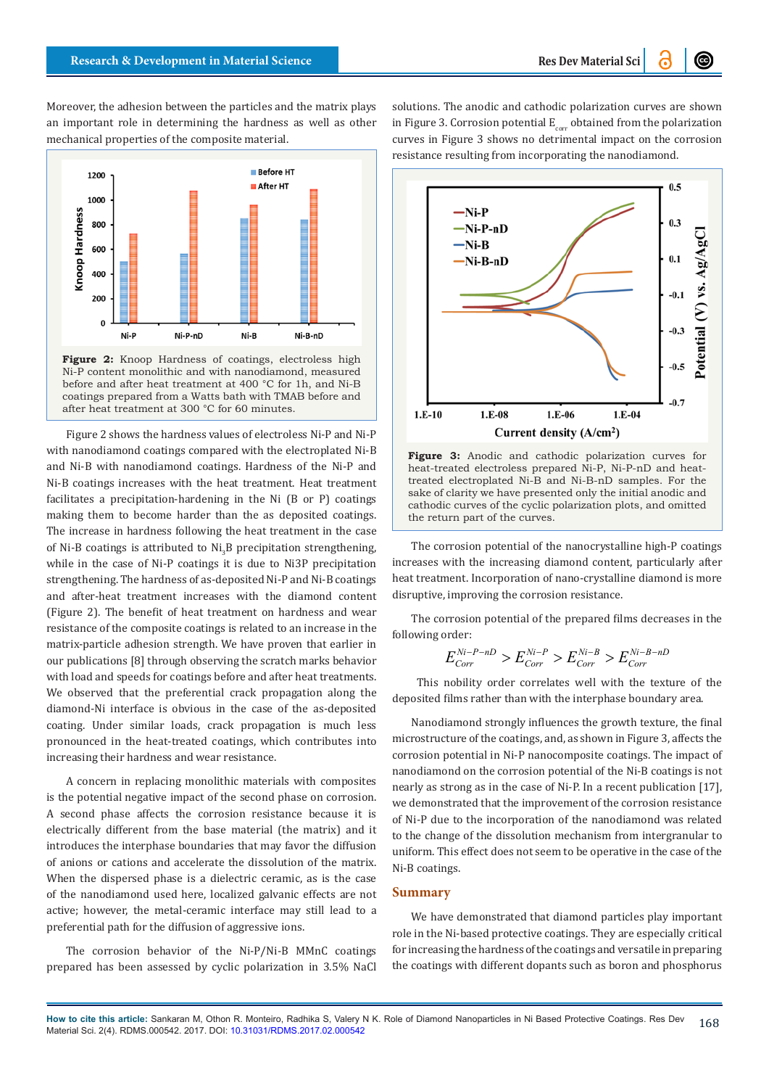Moreover, the adhesion between the particles and the matrix plays an important role in determining the hardness as well as other mechanical properties of the composite material.



Ni-P content monolithic and with nanodiamond, measured before and after heat treatment at 400 °C for 1h, and Ni-B coatings prepared from a Watts bath with TMAB before and after heat treatment at 300 °C for 60 minutes.

Figure 2 shows the hardness values of electroless Ni-P and Ni-P with nanodiamond coatings compared with the electroplated Ni-B and Ni-B with nanodiamond coatings. Hardness of the Ni-P and Ni-B coatings increases with the heat treatment. Heat treatment facilitates a precipitation-hardening in the Ni (B or P) coatings making them to become harder than the as deposited coatings. The increase in hardness following the heat treatment in the case of Ni-B coatings is attributed to Ni<sub>3</sub>B precipitation strengthening, while in the case of Ni-P coatings it is due to Ni3P precipitation strengthening. The hardness of as-deposited Ni-P and Ni-B coatings and after-heat treatment increases with the diamond content (Figure 2). The benefit of heat treatment on hardness and wear resistance of the composite coatings is related to an increase in the matrix-particle adhesion strength. We have proven that earlier in our publications [8] through observing the scratch marks behavior with load and speeds for coatings before and after heat treatments. We observed that the preferential crack propagation along the diamond-Ni interface is obvious in the case of the as-deposited coating. Under similar loads, crack propagation is much less pronounced in the heat-treated coatings, which contributes into increasing their hardness and wear resistance.

A concern in replacing monolithic materials with composites is the potential negative impact of the second phase on corrosion. A second phase affects the corrosion resistance because it is electrically different from the base material (the matrix) and it introduces the interphase boundaries that may favor the diffusion of anions or cations and accelerate the dissolution of the matrix. When the dispersed phase is a dielectric ceramic, as is the case of the nanodiamond used here, localized galvanic effects are not active; however, the metal-ceramic interface may still lead to a preferential path for the diffusion of aggressive ions.

The corrosion behavior of the Ni-P/Ni-B MMnC coatings prepared has been assessed by cyclic polarization in 3.5% NaCl solutions. The anodic and cathodic polarization curves are shown in Figure 3. Corrosion potential  $E_{corr}$  obtained from the polarization curves in Figure 3 shows no detrimental impact on the corrosion resistance resulting from incorporating the nanodiamond.



**Figure 3:** Anodic and cathodic polarization curves for heat-treated electroless prepared Ni-P, Ni-P-nD and heattreated electroplated Ni-B and Ni-B-nD samples. For the sake of clarity we have presented only the initial anodic and cathodic curves of the cyclic polarization plots, and omitted the return part of the curves.

The corrosion potential of the nanocrystalline high-P coatings increases with the increasing diamond content, particularly after heat treatment. Incorporation of nano-crystalline diamond is more disruptive, improving the corrosion resistance.

The corrosion potential of the prepared films decreases in the following order:

$$
E_{Corr}^{Ni-P-nD} > E_{Corr}^{Ni-P} > E_{Corr}^{Ni-B} > E_{Corr}^{Ni-B-nD}
$$

 This nobility order correlates well with the texture of the deposited films rather than with the interphase boundary area.

Nanodiamond strongly influences the growth texture, the final microstructure of the coatings, and, as shown in Figure 3, affects the corrosion potential in Ni-P nanocomposite coatings. The impact of nanodiamond on the corrosion potential of the Ni-B coatings is not nearly as strong as in the case of Ni-P. In a recent publication [17], we demonstrated that the improvement of the corrosion resistance of Ni-P due to the incorporation of the nanodiamond was related to the change of the dissolution mechanism from intergranular to uniform. This effect does not seem to be operative in the case of the Ni-B coatings.

## **Summary**

We have demonstrated that diamond particles play important role in the Ni-based protective coatings. They are especially critical for increasing the hardness of the coatings and versatile in preparing the coatings with different dopants such as boron and phosphorus